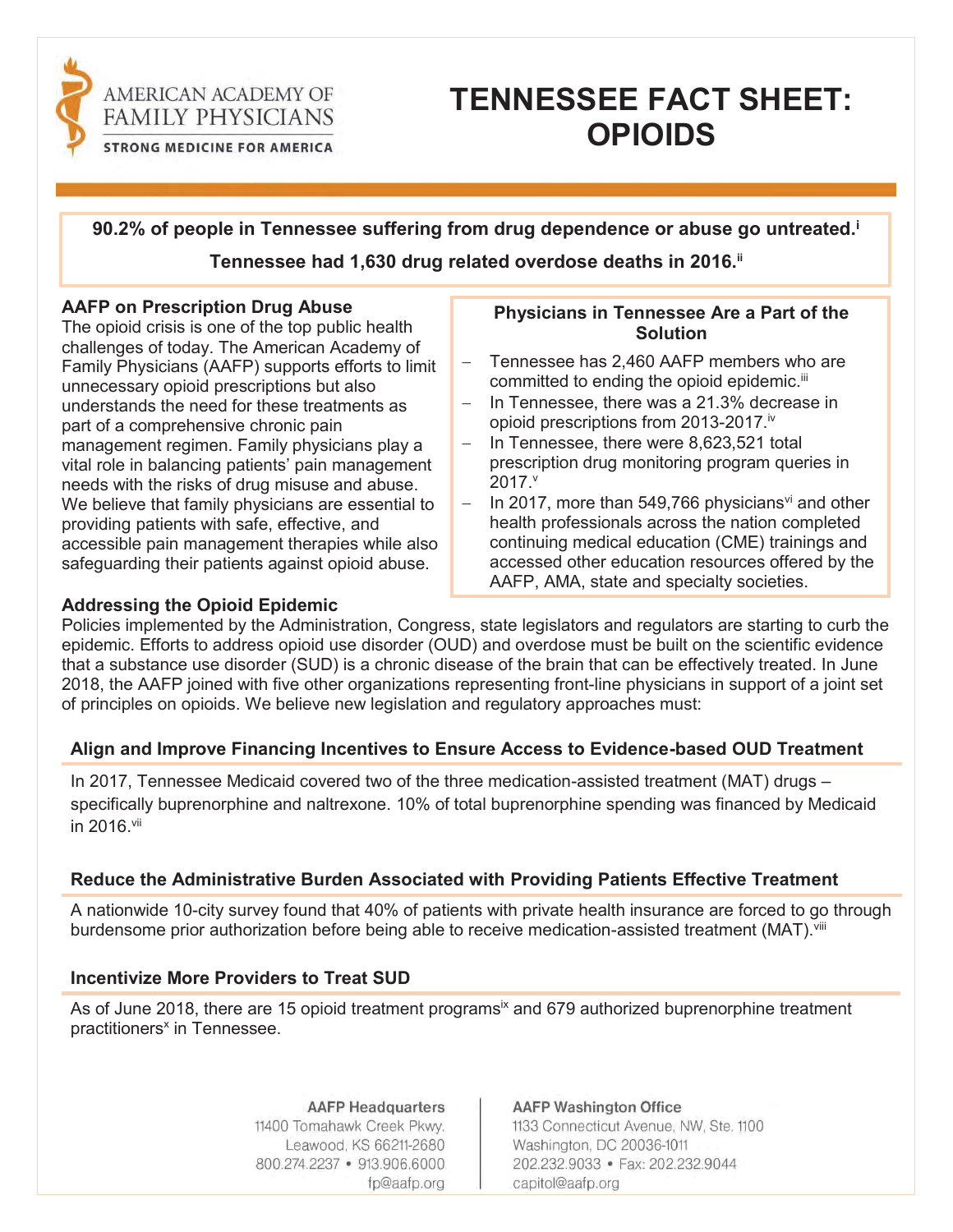

# **TENNESSEE FACT SHEET: OPIOIDS**

**90.2% of people in Tennessee suffering from drug dependence or abuse go untreated.i Tennessee had 1,630 drug related overdose deaths in 2016.ii**

### **AAFP on Prescription Drug Abuse**

The opioid crisis is one of the top public health challenges of today. The American Academy of Family Physicians (AAFP) supports efforts to limit unnecessary opioid prescriptions but also understands the need for these treatments as part of a comprehensive chronic pain management regimen. Family physicians play a vital role in balancing patients' pain management needs with the risks of drug misuse and abuse. We believe that family physicians are essential to providing patients with safe, effective, and accessible pain management therapies while also safeguarding their patients against opioid abuse.

## **Physicians in Tennessee Are a Part of the Solution**

- Tennessee has 2.460 AAFP members who are committed to ending the opioid epidemic.<sup>iii</sup>
- $-$  In Tennessee, there was a 21.3% decrease in opioid prescriptions from 2013-2017.<sup>iv</sup>
- $-$  In Tennessee, there were 8,623,521 total prescription drug monitoring program queries in  $2017.^\circ$
- In 2017, more than 549,766 physicians<sup>vi</sup> and other health professionals across the nation completed continuing medical education (CME) trainings and accessed other education resources offered by the AAFP, AMA, state and specialty societies.

## **Addressing the Opioid Epidemic**

Policies implemented by the Administration, Congress, state legislators and regulators are starting to curb the epidemic. Efforts to address opioid use disorder (OUD) and overdose must be built on the scientific evidence that a substance use disorder (SUD) is a chronic disease of the brain that can be effectively treated. In June 2018, the AAFP joined with five other organizations representing front-line physicians in support of a joint set of principles on opioids. We believe new legislation and regulatory approaches must:

## **Align and Improve Financing Incentives to Ensure Access to Evidence-based OUD Treatment**

In 2017, Tennessee Medicaid covered two of the three medication-assisted treatment (MAT) drugs  $$ specifically buprenorphine and naltrexone. 10% of total buprenorphine spending was financed by Medicaid in 2016 vii

## **Reduce the Administrative Burden Associated with Providing Patients Effective Treatment**

A nationwide 10-city survey found that 40% of patients with private health insurance are forced to go through burdensome prior authorization before being able to receive medication-assisted treatment (MAT). Vill

## **Incentivize More Providers to Treat SUD**

As of June 2018, there are 15 opioid treatment programs<sup>ix</sup> and 679 authorized buprenorphine treatment practitioners<sup>x</sup> in Tennessee.

> **AAFP Headquarters** 11400 Tomahawk Creek Pkwy. Leawood, KS 66211-2680 800.274.2237 • 913.906.6000 fp@aafp.org

## **AAFP Washington Office**

1133 Connecticut Avenue, NW, Ste. 1100 Washington, DC 20036-1011 202.232.9033 · Fax: 202.232.9044 capitol@aafp.org